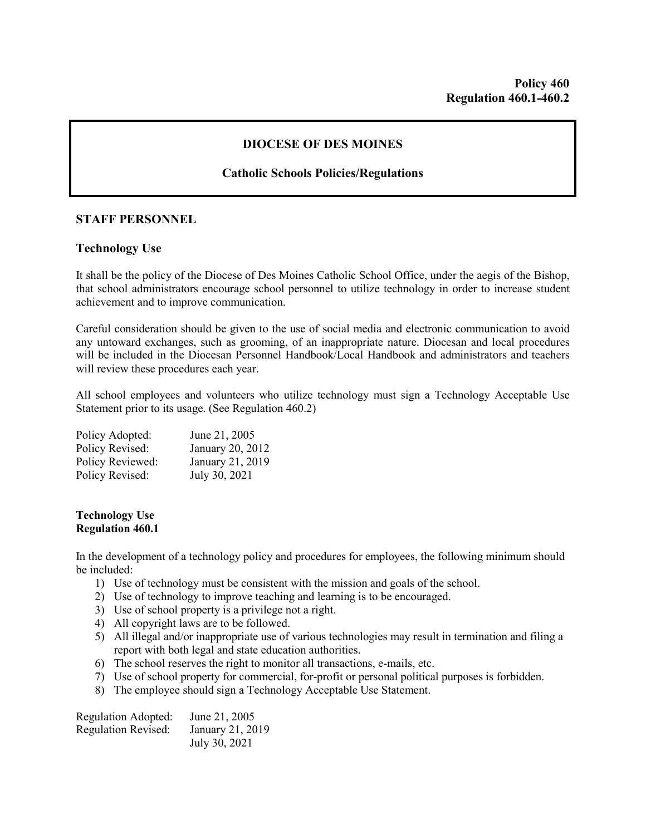## **DIOCESE OF DES MOINES**

# **Catholic Schools Policies/Regulations**

## **STAFF PERSONNEL**

## **Technology Use**

It shall be the policy of the Diocese of Des Moines Catholic School Office, under the aegis of the Bishop, that school administrators encourage school personnel to utilize technology in order to increase student achievement and to improve communication.

Careful consideration should be given to the use of social media and electronic communication to avoid any untoward exchanges, such as grooming, of an inappropriate nature. Diocesan and local procedures will be included in the Diocesan Personnel Handbook/Local Handbook and administrators and teachers will review these procedures each year.

All school employees and volunteers who utilize technology must sign a Technology Acceptable Use Statement prior to its usage. (See Regulation 460.2)

| Policy Adopted:  | June 21, 2005    |
|------------------|------------------|
| Policy Revised:  | January 20, 2012 |
| Policy Reviewed: | January 21, 2019 |
| Policy Revised:  | July 30, 2021    |

#### **Technology Use Regulation 460.1**

In the development of a technology policy and procedures for employees, the following minimum should be included:

- 1) Use of technology must be consistent with the mission and goals of the school.
- 2) Use of technology to improve teaching and learning is to be encouraged.
- 3) Use of school property is a privilege not a right.
- 4) All copyright laws are to be followed.
- 5) All illegal and/or inappropriate use of various technologies may result in termination and filing a report with both legal and state education authorities.
- 6) The school reserves the right to monitor all transactions, e-mails, etc.
- 7) Use of school property for commercial, for-profit or personal political purposes is forbidden.
- 8) The employee should sign a Technology Acceptable Use Statement.

| Regulation Adopted:        | June 21, 2005    |
|----------------------------|------------------|
| <b>Regulation Revised:</b> | January 21, 2019 |
|                            | July 30, 2021    |